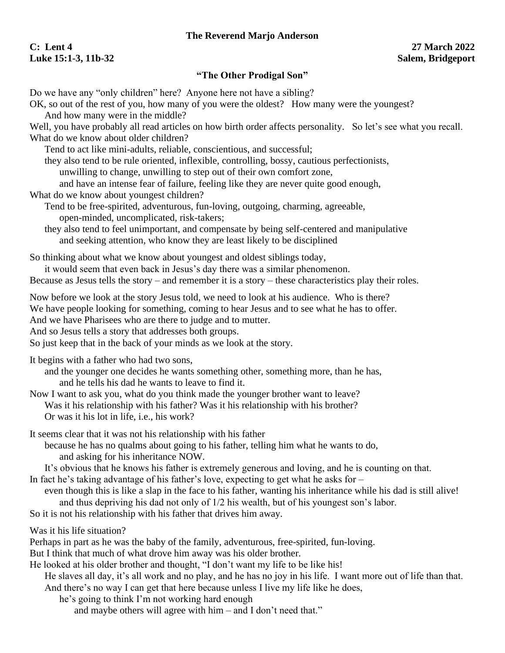## **The Reverend Marjo Anderson**

## **C: Lent 4 27 March 2022 Luke 15:1-3, 11b-32 Salem, Bridgeport**

## **"The Other Prodigal Son"**

Do we have any "only children" here? Anyone here not have a sibling? OK, so out of the rest of you, how many of you were the oldest? How many were the youngest? And how many were in the middle? Well, you have probably all read articles on how birth order affects personality. So let's see what you recall. What do we know about older children? Tend to act like mini-adults, reliable, conscientious, and successful; they also tend to be rule oriented, inflexible, controlling, bossy, cautious perfectionists, unwilling to change, unwilling to step out of their own comfort zone, and have an intense fear of failure, feeling like they are never quite good enough, What do we know about youngest children? Tend to be free-spirited, adventurous, fun-loving, outgoing, charming, agreeable, open-minded, uncomplicated, risk-takers; they also tend to feel unimportant, and compensate by being self-centered and manipulative and seeking attention, who know they are least likely to be disciplined So thinking about what we know about youngest and oldest siblings today, it would seem that even back in Jesus's day there was a similar phenomenon. Because as Jesus tells the story – and remember it is a story – these characteristics play their roles. Now before we look at the story Jesus told, we need to look at his audience. Who is there? We have people looking for something, coming to hear Jesus and to see what he has to offer. And we have Pharisees who are there to judge and to mutter. And so Jesus tells a story that addresses both groups. So just keep that in the back of your minds as we look at the story. It begins with a father who had two sons, and the younger one decides he wants something other, something more, than he has, and he tells his dad he wants to leave to find it. Now I want to ask you, what do you think made the younger brother want to leave? Was it his relationship with his father? Was it his relationship with his brother? Or was it his lot in life, i.e., his work? It seems clear that it was not his relationship with his father because he has no qualms about going to his father, telling him what he wants to do, and asking for his inheritance NOW. It's obvious that he knows his father is extremely generous and loving, and he is counting on that. In fact he's taking advantage of his father's love, expecting to get what he asks for – even though this is like a slap in the face to his father, wanting his inheritance while his dad is still alive! and thus depriving his dad not only of 1/2 his wealth, but of his youngest son's labor. So it is not his relationship with his father that drives him away. Was it his life situation? Perhaps in part as he was the baby of the family, adventurous, free-spirited, fun-loving. But I think that much of what drove him away was his older brother. He looked at his older brother and thought, "I don't want my life to be like his! He slaves all day, it's all work and no play, and he has no joy in his life. I want more out of life than that. And there's no way I can get that here because unless I live my life like he does, he's going to think I'm not working hard enough and maybe others will agree with him – and I don't need that."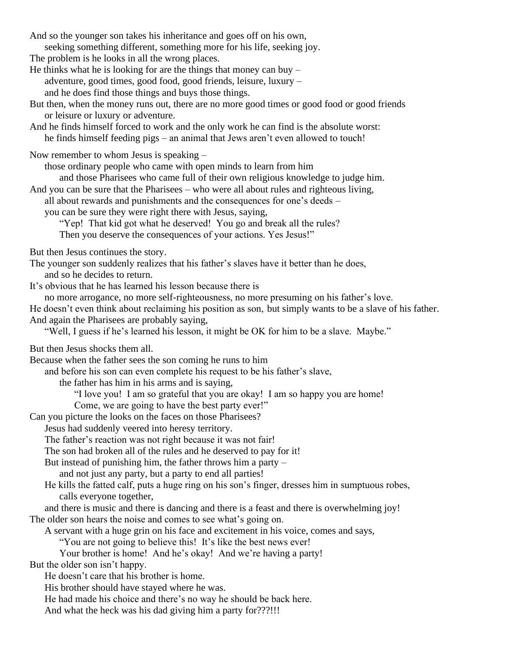And so the younger son takes his inheritance and goes off on his own, seeking something different, something more for his life, seeking joy. The problem is he looks in all the wrong places. He thinks what he is looking for are the things that money can buy  $$ adventure, good times, good food, good friends, leisure, luxury – and he does find those things and buys those things. But then, when the money runs out, there are no more good times or good food or good friends or leisure or luxury or adventure. And he finds himself forced to work and the only work he can find is the absolute worst: he finds himself feeding pigs – an animal that Jews aren't even allowed to touch! Now remember to whom Jesus is speaking – those ordinary people who came with open minds to learn from him and those Pharisees who came full of their own religious knowledge to judge him. And you can be sure that the Pharisees – who were all about rules and righteous living, all about rewards and punishments and the consequences for one's deeds – you can be sure they were right there with Jesus, saying, "Yep! That kid got what he deserved! You go and break all the rules? Then you deserve the consequences of your actions. Yes Jesus!" But then Jesus continues the story. The younger son suddenly realizes that his father's slaves have it better than he does, and so he decides to return. It's obvious that he has learned his lesson because there is no more arrogance, no more self-righteousness, no more presuming on his father's love. He doesn't even think about reclaiming his position as son, but simply wants to be a slave of his father. And again the Pharisees are probably saying, "Well, I guess if he's learned his lesson, it might be OK for him to be a slave. Maybe." But then Jesus shocks them all. Because when the father sees the son coming he runs to him and before his son can even complete his request to be his father's slave, the father has him in his arms and is saying, "I love you! I am so grateful that you are okay! I am so happy you are home! Come, we are going to have the best party ever!" Can you picture the looks on the faces on those Pharisees? Jesus had suddenly veered into heresy territory. The father's reaction was not right because it was not fair! The son had broken all of the rules and he deserved to pay for it! But instead of punishing him, the father throws him a party – and not just any party, but a party to end all parties! He kills the fatted calf, puts a huge ring on his son's finger, dresses him in sumptuous robes, calls everyone together, and there is music and there is dancing and there is a feast and there is overwhelming joy! The older son hears the noise and comes to see what's going on. A servant with a huge grin on his face and excitement in his voice, comes and says, "You are not going to believe this! It's like the best news ever! Your brother is home! And he's okay! And we're having a party! But the older son isn't happy. He doesn't care that his brother is home. His brother should have stayed where he was. He had made his choice and there's no way he should be back here. And what the heck was his dad giving him a party for???!!!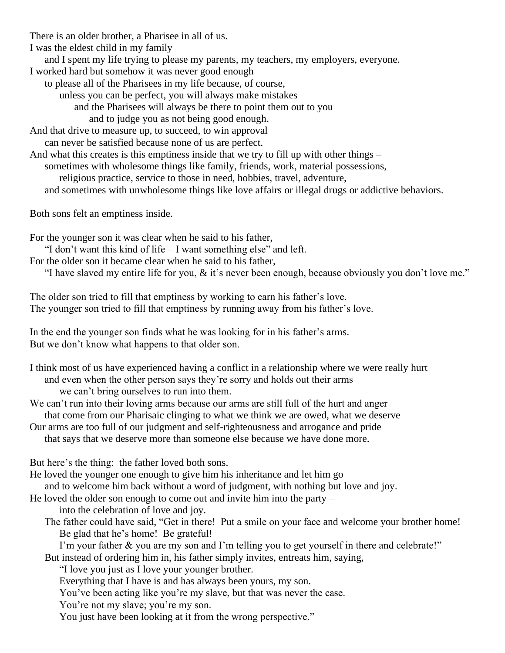There is an older brother, a Pharisee in all of us. I was the eldest child in my family and I spent my life trying to please my parents, my teachers, my employers, everyone. I worked hard but somehow it was never good enough to please all of the Pharisees in my life because, of course, unless you can be perfect, you will always make mistakes and the Pharisees will always be there to point them out to you and to judge you as not being good enough. And that drive to measure up, to succeed, to win approval can never be satisfied because none of us are perfect. And what this creates is this emptiness inside that we try to fill up with other things – sometimes with wholesome things like family, friends, work, material possessions, religious practice, service to those in need, hobbies, travel, adventure, and sometimes with unwholesome things like love affairs or illegal drugs or addictive behaviors. Both sons felt an emptiness inside. For the younger son it was clear when he said to his father,

"I don't want this kind of life – I want something else" and left.

For the older son it became clear when he said to his father,

"I have slaved my entire life for you, & it's never been enough, because obviously you don't love me."

The older son tried to fill that emptiness by working to earn his father's love. The younger son tried to fill that emptiness by running away from his father's love.

In the end the younger son finds what he was looking for in his father's arms. But we don't know what happens to that older son.

I think most of us have experienced having a conflict in a relationship where we were really hurt and even when the other person says they're sorry and holds out their arms we can't bring ourselves to run into them.

We can't run into their loving arms because our arms are still full of the hurt and anger that come from our Pharisaic clinging to what we think we are owed, what we deserve

Our arms are too full of our judgment and self-righteousness and arrogance and pride that says that we deserve more than someone else because we have done more.

But here's the thing: the father loved both sons.

He loved the younger one enough to give him his inheritance and let him go and to welcome him back without a word of judgment, with nothing but love and joy.

He loved the older son enough to come out and invite him into the party –

into the celebration of love and joy.

The father could have said, "Get in there! Put a smile on your face and welcome your brother home! Be glad that he's home! Be grateful!

I'm your father & you are my son and I'm telling you to get yourself in there and celebrate!"

But instead of ordering him in, his father simply invites, entreats him, saying,

"I love you just as I love your younger brother.

Everything that I have is and has always been yours, my son.

You've been acting like you're my slave, but that was never the case.

You're not my slave; you're my son.

You just have been looking at it from the wrong perspective."